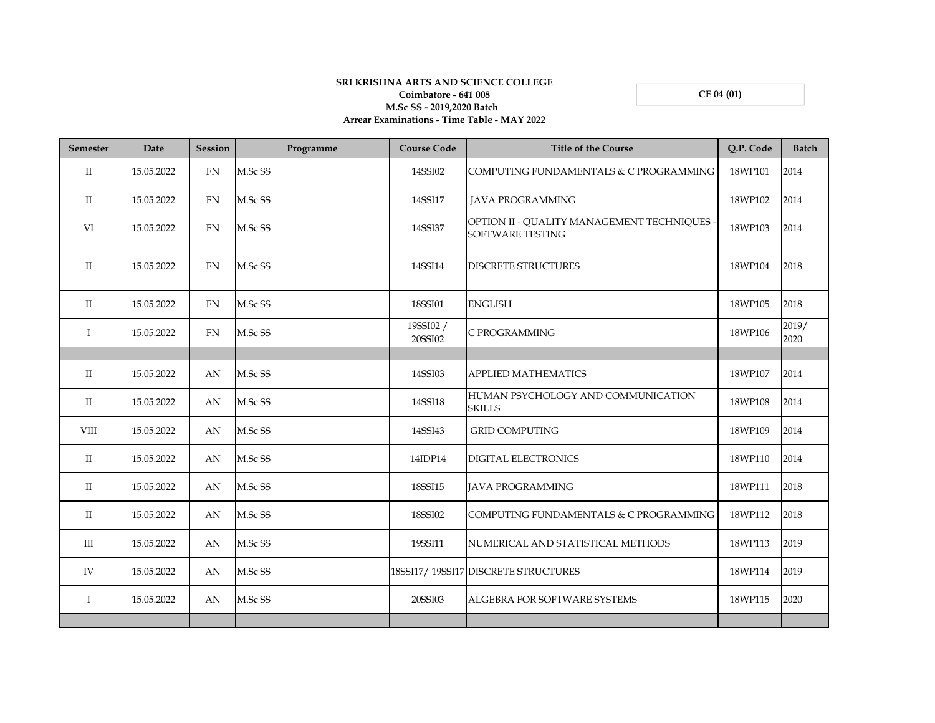**CE 04 (01)**

## **SRI KRISHNA ARTS AND SCIENCE COLLEGE Coimbatore - 641 008 M.Sc SS - 2019,2020 Batch Arrear Examinations - Time Table - MAY 2022**

| <b>Semester</b> | Date       | <b>Session</b> | Programme | <b>Course Code</b>   | <b>Title of the Course</b>                                             | Q.P. Code | <b>Batch</b>  |
|-----------------|------------|----------------|-----------|----------------------|------------------------------------------------------------------------|-----------|---------------|
| $\mathbf{I}$    | 15.05.2022 | <b>FN</b>      | M.Sc SS   | 14SSI02              | COMPUTING FUNDAMENTALS & C PROGRAMMING                                 | 18WP101   | 2014          |
| $\mathbf{I}$    | 15.05.2022 | <b>FN</b>      | M.Sc SS   | 14SSI17              | <b>JAVA PROGRAMMING</b>                                                | 18WP102   | 2014          |
| VI              | 15.05.2022 | <b>FN</b>      | M.Sc SS   | 14SSI37              | OPTION II - QUALITY MANAGEMENT TECHNIQUES -<br><b>SOFTWARE TESTING</b> | 18WP103   | 2014          |
| $\Pi$           | 15.05.2022 | <b>FN</b>      | M.Sc SS   | 14SSI14              | <b>DISCRETE STRUCTURES</b>                                             | 18WP104   | 2018          |
| $\mathbf{I}$    | 15.05.2022 | <b>FN</b>      | M.Sc SS   | 18SSI01              | <b>ENGLISH</b>                                                         | 18WP105   | 2018          |
| $\bf{I}$        | 15.05.2022 | FN             | M.Sc SS   | 19SSI02 /<br>20SSI02 | C PROGRAMMING                                                          | 18WP106   | 2019/<br>2020 |
|                 |            |                |           |                      |                                                                        |           |               |
| $\mathbf{I}$    | 15.05.2022 | AN             | M.Sc SS   | 14SSI03              | <b>APPLIED MATHEMATICS</b>                                             | 18WP107   | 2014          |
| $\mathbf{H}$    | 15.05.2022 | AN             | M.Sc SS   | 14SSI18              | HUMAN PSYCHOLOGY AND COMMUNICATION<br><b>SKILLS</b>                    | 18WP108   | 2014          |
| <b>VIII</b>     | 15.05.2022 | AN             | M.Sc SS   | 14SSI43              | <b>GRID COMPUTING</b>                                                  | 18WP109   | 2014          |
| $\mathbf{I}$    | 15.05.2022 | AN             | M.Sc SS   | 14IDP14              | <b>DIGITAL ELECTRONICS</b>                                             | 18WP110   | 2014          |
| $\mathbf{I}$    | 15.05.2022 | AN             | M.Sc SS   | 18SSI15              | <b>JAVA PROGRAMMING</b>                                                | 18WP111   | 2018          |
| $_{\rm II}$     | 15.05.2022 | AN             | M.Sc SS   | 18SSI02              | COMPUTING FUNDAMENTALS & C PROGRAMMING                                 | 18WP112   | 2018          |
| III             | 15.05.2022 | AN             | M.Sc SS   | 19SSI11              | NUMERICAL AND STATISTICAL METHODS                                      | 18WP113   | 2019          |
| IV              | 15.05.2022 | AN             | M.Sc SS   |                      | 18SSI17/19SSI17 DISCRETE STRUCTURES                                    | 18WP114   | 2019          |
| $\mathbf{I}$    | 15.05.2022 | AN             | M.Sc SS   | 20SSI03              | ALGEBRA FOR SOFTWARE SYSTEMS                                           | 18WP115   | 2020          |
|                 |            |                |           |                      |                                                                        |           |               |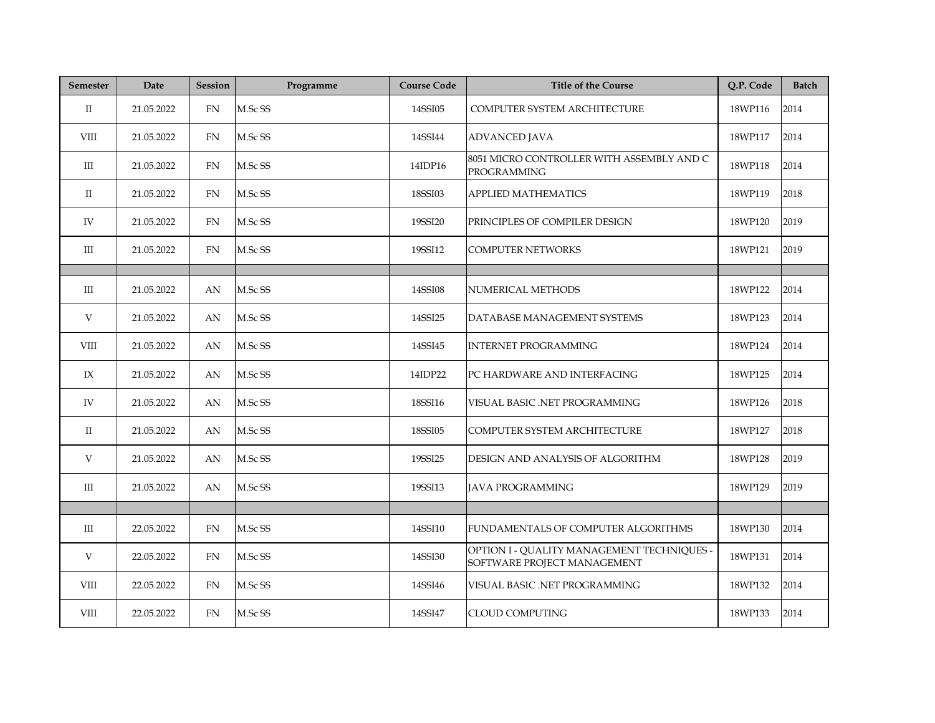| <b>Semester</b> | Date       | <b>Session</b> | Programme | <b>Course Code</b> | <b>Title of the Course</b>                                                | Q.P. Code | <b>Batch</b> |
|-----------------|------------|----------------|-----------|--------------------|---------------------------------------------------------------------------|-----------|--------------|
| $\rm{II}$       | 21.05.2022 | <b>FN</b>      | M.Sc SS   | 14SSI05            | COMPUTER SYSTEM ARCHITECTURE                                              | 18WP116   | 2014         |
| VIII            | 21.05.2022 | FN             | M.Sc SS   | 14SSI44            | <b>ADVANCED JAVA</b>                                                      | 18WP117   | 2014         |
| Ш               | 21.05.2022 | FN             | M.Sc SS   | 14IDP16            | 8051 MICRO CONTROLLER WITH ASSEMBLY AND C<br>PROGRAMMING                  | 18WP118   | 2014         |
| П               | 21.05.2022 | FN             | M.Sc SS   | 18SSI03            | <b>APPLIED MATHEMATICS</b>                                                | 18WP119   | 2018         |
| IV              | 21.05.2022 | <b>FN</b>      | M.Sc SS   | 19SSI20            | PRINCIPLES OF COMPILER DESIGN                                             | 18WP120   | 2019         |
| III             | 21.05.2022 | FN             | M.Sc SS   | 19SSI12            | <b>COMPUTER NETWORKS</b>                                                  | 18WP121   | 2019         |
|                 |            |                |           |                    |                                                                           |           |              |
| Ш               | 21.05.2022 | AN             | M.Sc SS   | 14SSI08            | NUMERICAL METHODS                                                         | 18WP122   | 2014         |
| V               | 21.05.2022 | AN             | M.Sc SS   | 14SSI25            | DATABASE MANAGEMENT SYSTEMS                                               | 18WP123   | 2014         |
| VIII            | 21.05.2022 | AN             | M.Sc SS   | 14SSI45            | <b>INTERNET PROGRAMMING</b>                                               | 18WP124   | 2014         |
| IX              | 21.05.2022 | AN             | M.Sc SS   | 14IDP22            | PC HARDWARE AND INTERFACING                                               | 18WP125   | 2014         |
| IV              | 21.05.2022 | AN             | M.Sc SS   | 18SSI16            | VISUAL BASIC .NET PROGRAMMING                                             | 18WP126   | 2018         |
| П               | 21.05.2022 | AN             | M.Sc SS   | 18SSI05            | COMPUTER SYSTEM ARCHITECTURE                                              | 18WP127   | 2018         |
| V               | 21.05.2022 | AN             | M.Sc SS   | 19SSI25            | DESIGN AND ANALYSIS OF ALGORITHM                                          | 18WP128   | 2019         |
| Ш               | 21.05.2022 | AN             | M.Sc SS   | 19SSI13            | <b>JAVA PROGRAMMING</b>                                                   | 18WP129   | 2019         |
|                 |            |                |           |                    |                                                                           |           |              |
| III             | 22.05.2022 | <b>FN</b>      | M.Sc SS   | 14SSI10            | FUNDAMENTALS OF COMPUTER ALGORITHMS                                       | 18WP130   | 2014         |
| V               | 22.05.2022 | FN             | M.Sc SS   | 14SSI30            | OPTION I - QUALITY MANAGEMENT TECHNIQUES -<br>SOFTWARE PROJECT MANAGEMENT | 18WP131   | 2014         |
| VIII            | 22.05.2022 | FN             | M.Sc SS   | 14SSI46            | VISUAL BASIC .NET PROGRAMMING                                             | 18WP132   | 2014         |
| VIII            | 22.05.2022 | FN             | M.Sc SS   | 14SSI47            | CLOUD COMPUTING                                                           | 18WP133   | 2014         |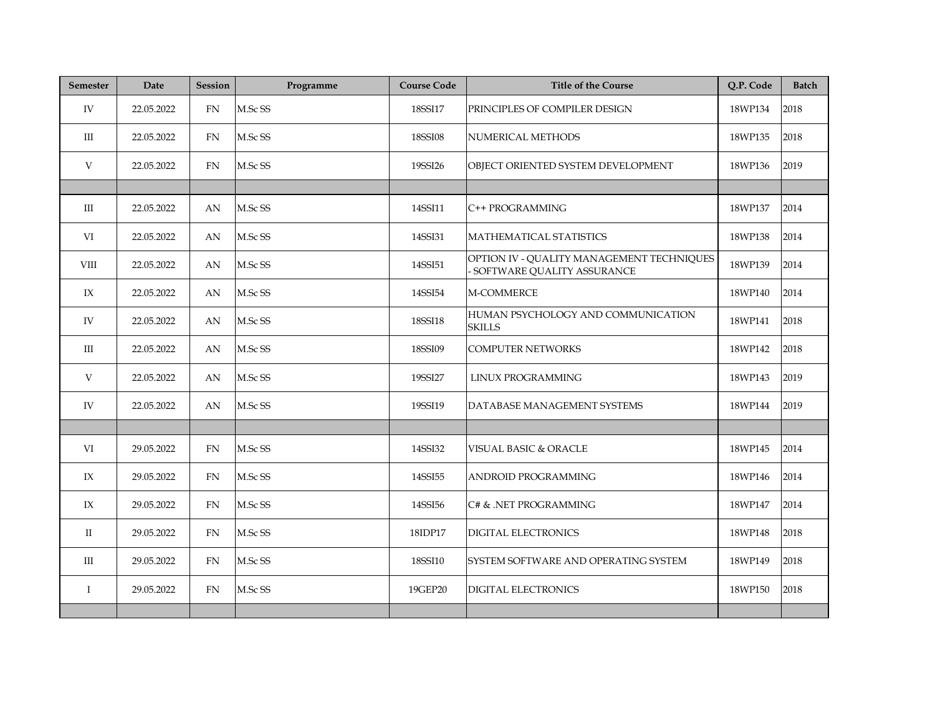| <b>Semester</b> | Date       | <b>Session</b> | Programme | <b>Course Code</b> | <b>Title of the Course</b>                                                | Q.P. Code | <b>Batch</b> |
|-----------------|------------|----------------|-----------|--------------------|---------------------------------------------------------------------------|-----------|--------------|
| IV              | 22.05.2022 | <b>FN</b>      | M.Sc SS   | 18SSI17            | PRINCIPLES OF COMPILER DESIGN                                             | 18WP134   | 2018         |
| III             | 22.05.2022 | ${\rm FN}$     | M.Sc SS   | 18SSI08            | NUMERICAL METHODS                                                         | 18WP135   | 2018         |
| V               | 22.05.2022 | FN             | M.Sc SS   | 19SSI26            | OBJECT ORIENTED SYSTEM DEVELOPMENT                                        | 18WP136   | 2019         |
|                 |            |                |           |                    |                                                                           |           |              |
| $\mathbf{III}$  | 22.05.2022 | AN             | M.Sc SS   | 14SSI11            | C++ PROGRAMMING                                                           | 18WP137   | 2014         |
| VI              | 22.05.2022 | AN             | M.Sc SS   | 14SSI31            | MATHEMATICAL STATISTICS                                                   | 18WP138   | 2014         |
| VIII            | 22.05.2022 | AN             | M.Sc SS   | 14SSI51            | OPTION IV - QUALITY MANAGEMENT TECHNIQUES<br>- SOFTWARE QUALITY ASSURANCE | 18WP139   | 2014         |
| IX              | 22.05.2022 | AN             | M.Sc SS   | 14SSI54            | M-COMMERCE                                                                | 18WP140   | 2014         |
| IV              | 22.05.2022 | AN             | M.Sc SS   | 18SSI18            | HUMAN PSYCHOLOGY AND COMMUNICATION<br><b>SKILLS</b>                       | 18WP141   | 2018         |
| III             | 22.05.2022 | AN             | M.Sc SS   | 18SSI09            | <b>COMPUTER NETWORKS</b>                                                  | 18WP142   | 2018         |
| V               | 22.05.2022 | AN             | M.Sc SS   | 19SSI27            | LINUX PROGRAMMING                                                         | 18WP143   | 2019         |
| IV              | 22.05.2022 | AN             | M.Sc SS   | 19SSI19            | DATABASE MANAGEMENT SYSTEMS                                               | 18WP144   | 2019         |
|                 |            |                |           |                    |                                                                           |           |              |
| VI              | 29.05.2022 | <b>FN</b>      | M.Sc SS   | 14SSI32            | VISUAL BASIC & ORACLE                                                     | 18WP145   | 2014         |
| IX              | 29.05.2022 | <b>FN</b>      | M.Sc SS   | 14SSI55            | <b>ANDROID PROGRAMMING</b>                                                | 18WP146   | 2014         |
| IX              | 29.05.2022 | FN             | M.Sc SS   | 14SSI56            | C# & .NET PROGRAMMING                                                     | 18WP147   | 2014         |
| $\mathbf{H}$    | 29.05.2022 | FN             | M.Sc SS   | 18IDP17            | <b>DIGITAL ELECTRONICS</b>                                                | 18WP148   | 2018         |
| Ш               | 29.05.2022 | <b>FN</b>      | M.Sc SS   | 18SSI10            | SYSTEM SOFTWARE AND OPERATING SYSTEM                                      | 18WP149   | 2018         |
| $\mathbf I$     | 29.05.2022 | FN             | M.Sc SS   | 19GEP20            | <b>DIGITAL ELECTRONICS</b>                                                | 18WP150   | 2018         |
|                 |            |                |           |                    |                                                                           |           |              |